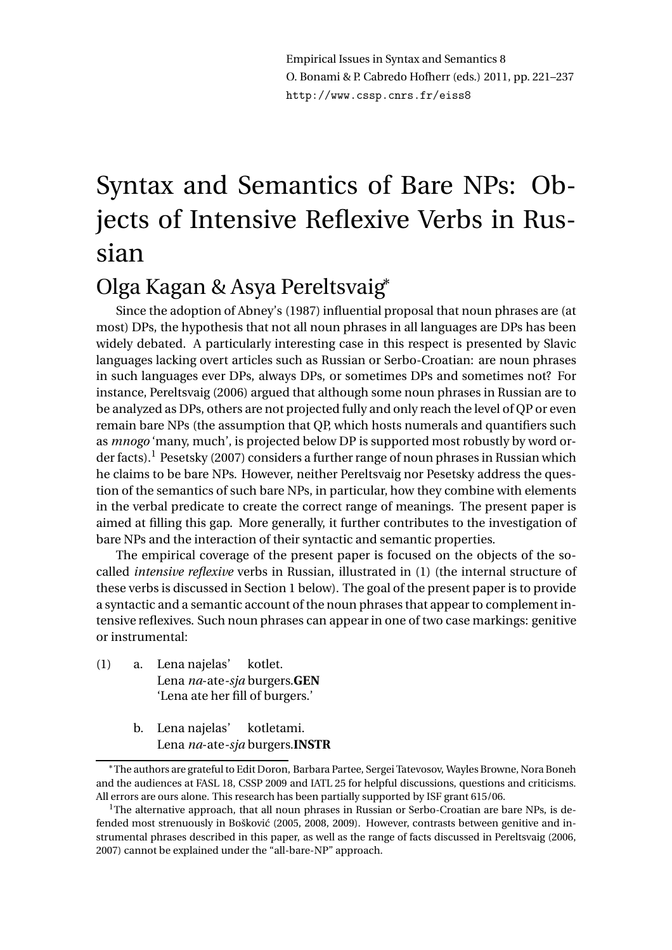Empirical Issues in Syntax and Semantics 8 O. Bonami & P. Cabredo Hofherr (eds.) 2011, pp. 221–237 http://www.cssp.cnrs.fr/eiss8

# Syntax and Semantics of Bare NPs: Objects of Intensive Reflexive Verbs in Russian

# Olga Kagan & Asya Pereltsvaig<sup>∗</sup>

Since the adoption of Abney's (1987) influential proposal that noun phrases are (at most) DPs, the hypothesis that not all noun phrases in all languages are DPs has been widely debated. A particularly interesting case in this respect is presented by Slavic languages lacking overt articles such as Russian or Serbo-Croatian: are noun phrases in such languages ever DPs, always DPs, or sometimes DPs and sometimes not? For instance, Pereltsvaig (2006) argued that although some noun phrases in Russian are to be analyzed as DPs, others are not projected fully and only reach the level of QP or even remain bare NPs (the assumption that QP, which hosts numerals and quantifiers such as *mnogo* 'many, much', is projected below DP is supported most robustly by word order facts).<sup>1</sup> Pesetsky (2007) considers a further range of noun phrases in Russian which he claims to be bare NPs. However, neither Pereltsvaig nor Pesetsky address the question of the semantics of such bare NPs, in particular, how they combine with elements in the verbal predicate to create the correct range of meanings. The present paper is aimed at filling this gap. More generally, it further contributes to the investigation of bare NPs and the interaction of their syntactic and semantic properties.

The empirical coverage of the present paper is focused on the objects of the socalled *intensive reflexive* verbs in Russian, illustrated in (1) (the internal structure of these verbs is discussed in Section 1 below). The goal of the present paper is to provide a syntactic and a semantic account of the noun phrases that appear to complement intensive reflexives. Such noun phrases can appear in one of two case markings: genitive or instrumental:

- (1) a. Lena najelas' Lena *na*-ate*-sja* burgers.**GEN** kotlet. 'Lena ate her fill of burgers.'
	- b. Lena najelas' Lena *na*-ate*-sja* burgers.**INSTR** kotletami.

<sup>∗</sup>The authors are grateful to Edit Doron, Barbara Partee, Sergei Tatevosov, Wayles Browne, Nora Boneh and the audiences at FASL 18, CSSP 2009 and IATL 25 for helpful discussions, questions and criticisms. All errors are ours alone. This research has been partially supported by ISF grant 615/06.

<sup>&</sup>lt;sup>1</sup>The alternative approach, that all noun phrases in Russian or Serbo-Croatian are bare NPs, is defended most strenuously in Bošković (2005, 2008, 2009). However, contrasts between genitive and instrumental phrases described in this paper, as well as the range of facts discussed in Pereltsvaig (2006, 2007) cannot be explained under the "all-bare-NP" approach.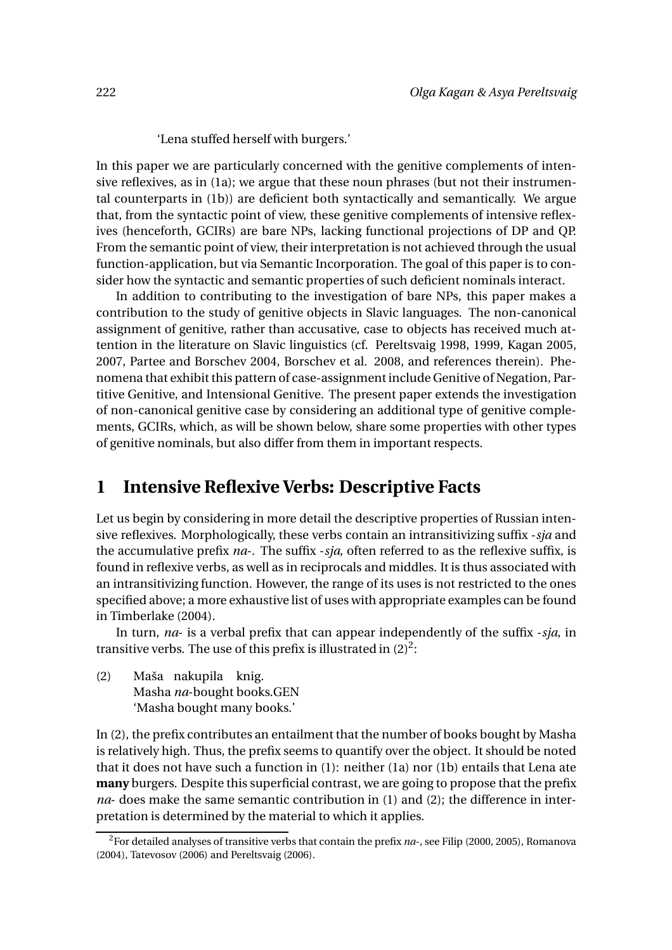'Lena stuffed herself with burgers.'

In this paper we are particularly concerned with the genitive complements of intensive reflexives, as in (1a); we argue that these noun phrases (but not their instrumental counterparts in (1b)) are deficient both syntactically and semantically. We argue that, from the syntactic point of view, these genitive complements of intensive reflexives (henceforth, GCIRs) are bare NPs, lacking functional projections of DP and QP. From the semantic point of view, their interpretation is not achieved through the usual function-application, but via Semantic Incorporation. The goal of this paper is to consider how the syntactic and semantic properties of such deficient nominals interact.

In addition to contributing to the investigation of bare NPs, this paper makes a contribution to the study of genitive objects in Slavic languages. The non-canonical assignment of genitive, rather than accusative, case to objects has received much attention in the literature on Slavic linguistics (cf. Pereltsvaig 1998, 1999, Kagan 2005, 2007, Partee and Borschev 2004, Borschev et al. 2008, and references therein). Phenomena that exhibit this pattern of case-assignment include Genitive of Negation, Partitive Genitive, and Intensional Genitive. The present paper extends the investigation of non-canonical genitive case by considering an additional type of genitive complements, GCIRs, which, as will be shown below, share some properties with other types of genitive nominals, but also differ from them in important respects.

#### **1 Intensive Reflexive Verbs: Descriptive Facts**

Let us begin by considering in more detail the descriptive properties of Russian intensive reflexives. Morphologically, these verbs contain an intransitivizing suffix -*sja* and the accumulative prefix *na*-. The suffix -*sja*, often referred to as the reflexive suffix, is found in reflexive verbs, as well as in reciprocals and middles. It is thus associated with an intransitivizing function. However, the range of its uses is not restricted to the ones specified above; a more exhaustive list of uses with appropriate examples can be found in Timberlake (2004).

In turn, *na*- is a verbal prefix that can appear independently of the suffix -*sja*, in transitive verbs. The use of this prefix is illustrated in  $(2)^2$ :

(2) Maša nakupila knig. Masha *na*-bought books.GEN 'Masha bought many books.'

In (2), the prefix contributes an entailment that the number of books bought by Masha is relatively high. Thus, the prefix seems to quantify over the object. It should be noted that it does not have such a function in (1): neither (1a) nor (1b) entails that Lena ate **many** burgers. Despite this superficial contrast, we are going to propose that the prefix *na*- does make the same semantic contribution in (1) and (2); the difference in interpretation is determined by the material to which it applies.

<sup>2</sup>For detailed analyses of transitive verbs that contain the prefix *na*-, see Filip (2000, 2005), Romanova (2004), Tatevosov (2006) and Pereltsvaig (2006).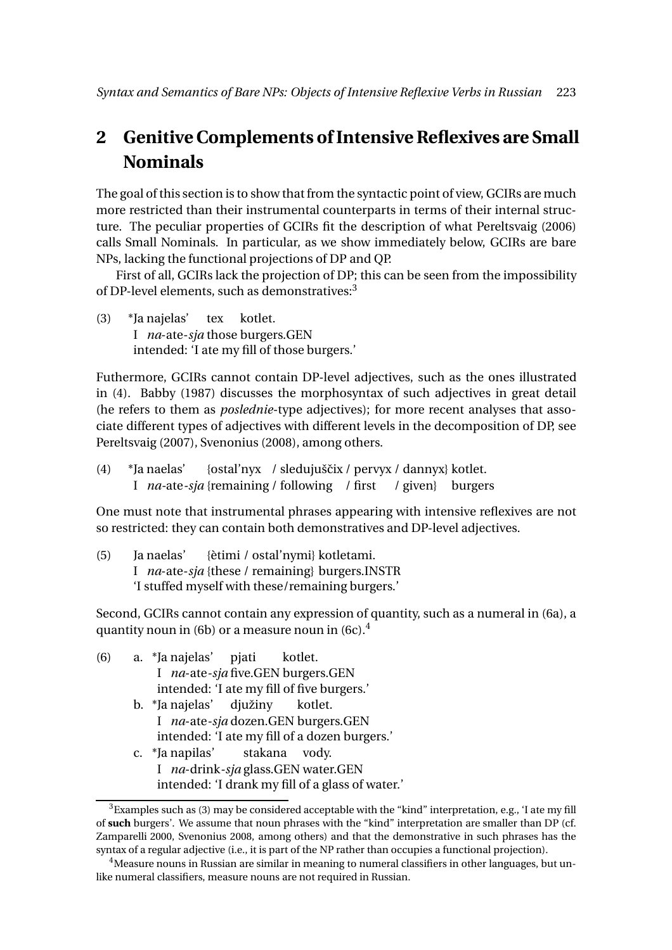# **2 Genitive Complements of Intensive Reflexives are Small Nominals**

The goal of this section is to show that from the syntactic point of view, GCIRs are much more restricted than their instrumental counterparts in terms of their internal structure. The peculiar properties of GCIRs fit the description of what Pereltsvaig (2006) calls Small Nominals. In particular, as we show immediately below, GCIRs are bare NPs, lacking the functional projections of DP and QP.

First of all, GCIRs lack the projection of DP; this can be seen from the impossibility of DP-level elements, such as demonstratives:<sup>3</sup>

 $(3)$ I *na*-ate-*sja* those burgers.GEN \*Ia naielas' tex kotlet. intended: 'I ate my fill of those burgers.'

Futhermore, GCIRs cannot contain DP-level adjectives, such as the ones illustrated in (4). Babby (1987) discusses the morphosyntax of such adjectives in great detail (he refers to them as *poslednie*-type adjectives); for more recent analyses that associate different types of adjectives with different levels in the decomposition of DP, see Pereltsvaig (2007), Svenonius (2008), among others.

 $(4)$ I na-ate-sja {remaining / following / first / given} burgers \*Ja naelas' {ostal'nyx / sledujuščix / pervyx / dannyx} kotlet.

One must note that instrumental phrases appearing with intensive reflexives are not so restricted: they can contain both demonstratives and DP-level adjectives.

 $(5)$ I *na*-ate-*sja* {these / remaining} burgers.INSTR Ia naelas' {ètimi / ostal'nymi} kotletami. 'I stuffed myself with these/remaining burgers.'

Second, GCIRs cannot contain any expression of quantity, such as a numeral in (6a), a quantity noun in (6b) or a measure noun in (6c). $<sup>4</sup>$ </sup>

- (6) a. \*Ja najelas' I *na*-ate*-sja* five.GEN burgers.GEN pjati kotlet. intended: 'I ate my fill of five burgers.' b. \*Ja najelas' I *na*-ate*-sja* dozen.GEN burgers.GEN diužiny kotlet. intended: 'I ate my fill of a dozen burgers.' c. \*Ja napilas' stakana vody.
	- I *na*-drink*-sja* glass.GEN water.GEN intended: 'I drank my fill of a glass of water.'

 $3$ Examples such as (3) may be considered acceptable with the "kind" interpretation, e.g., 'I ate my fill of **such** burgers'. We assume that noun phrases with the "kind" interpretation are smaller than DP (cf. Zamparelli 2000, Svenonius 2008, among others) and that the demonstrative in such phrases has the syntax of a regular adjective (i.e., it is part of the NP rather than occupies a functional projection).

<sup>&</sup>lt;sup>4</sup> Measure nouns in Russian are similar in meaning to numeral classifiers in other languages, but unlike numeral classifiers, measure nouns are not required in Russian.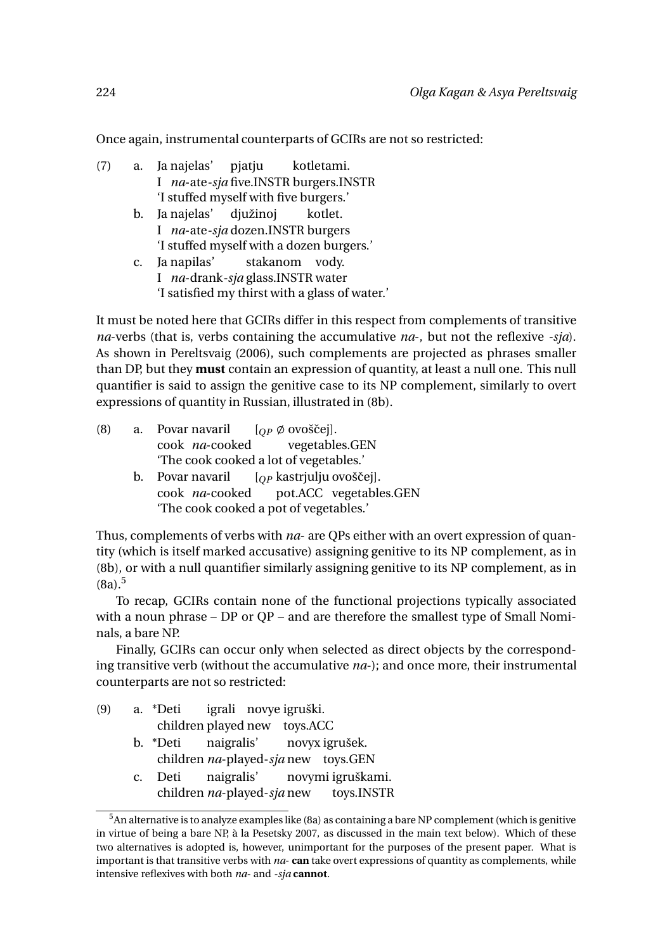Once again, instrumental counterparts of GCIRs are not so restricted:

- (7) a. Ja najelas' I *na*-ate*-sja* five.INSTR burgers.INSTR pjatju kotletami. 'I stuffed myself with five burgers.'
	- b. Ja najelas' I *na*-ate*-sja* dozen.INSTR burgers djužinoj kotlet. 'I stuffed myself with a dozen burgers.'
	- c. Ja napilas' I *na*-drank*-sja* glass.INSTR water stakanom vody. 'I satisfied my thirst with a glass of water.'

It must be noted here that GCIRs differ in this respect from complements of transitive *na*-verbs (that is, verbs containing the accumulative *na*-, but not the reflexive *-sja*). As shown in Pereltsvaig (2006), such complements are projected as phrases smaller than DP, but they **must** contain an expression of quantity, at least a null one. This null quantifier is said to assign the genitive case to its NP complement, similarly to overt expressions of quantity in Russian, illustrated in (8b).

| (8) |    | a. Povar navaril $[OP \emptyset$ ovoščej]. |                                      |  |  |
|-----|----|--------------------------------------------|--------------------------------------|--|--|
|     |    | cook <i>na</i> -cooked vegetables.GEN      |                                      |  |  |
|     |    | 'The cook cooked a lot of vegetables.'     |                                      |  |  |
|     | b. | Povar navaril $[OP$ kastrjulju ovoščej].   |                                      |  |  |
|     |    |                                            | cook na-cooked not ACC vegetables GE |  |  |

cook *na*-cooked pot.ACC vegetables.GEN 'The cook cooked a pot of vegetables.'

Thus, complements of verbs with *na*- are QPs either with an overt expression of quantity (which is itself marked accusative) assigning genitive to its NP complement, as in (8b), or with a null quantifier similarly assigning genitive to its NP complement, as in  $(8a).<sup>5</sup>$ 

To recap, GCIRs contain none of the functional projections typically associated with a noun phrase – DP or QP – and are therefore the smallest type of Small Nominals, a bare NP.

Finally, GCIRs can occur only when selected as direct objects by the corresponding transitive verb (without the accumulative *na*-); and once more, their instrumental counterparts are not so restricted:

| (9) |                                     |  | a. *Deti igrali novye igruški.       |  |  |  |
|-----|-------------------------------------|--|--------------------------------------|--|--|--|
|     | children played new toys.ACC        |  |                                      |  |  |  |
|     |                                     |  | b. *Deti naigralis' novyx igrušek.   |  |  |  |
|     | children na-played-sja new toys.GEN |  |                                      |  |  |  |
|     | $\mathbf{C}$ .                      |  | Deti naigralis' novymi igruškami.    |  |  |  |
|     |                                     |  | children na-played-sjanew toys.INSTR |  |  |  |

<sup>&</sup>lt;sup>5</sup>An alternative is to analyze examples like (8a) as containing a bare NP complement (which is genitive in virtue of being a bare NP, à la Pesetsky 2007, as discussed in the main text below). Which of these two alternatives is adopted is, however, unimportant for the purposes of the present paper. What is important is that transitive verbs with *na*- **can** take overt expressions of quantity as complements, while intensive reflexives with both *na*- and *-sja* **cannot**.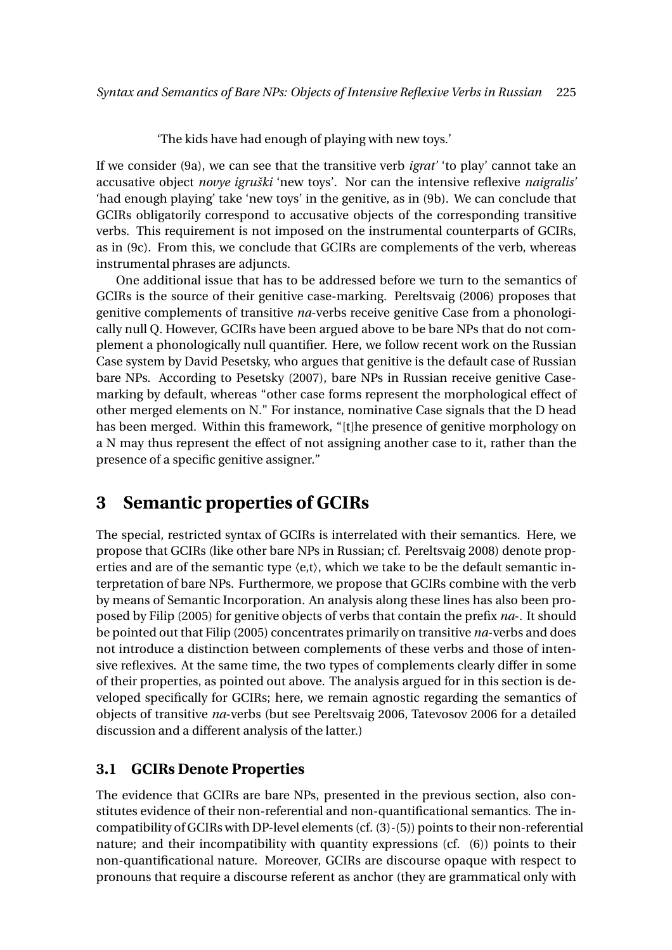'The kids have had enough of playing with new toys.'

If we consider (9a), we can see that the transitive verb *igrat'* 'to play' cannot take an accusative object *novye igruški* 'new toys'. Nor can the intensive reflexive *naigralis'* 'had enough playing' take 'new toys' in the genitive, as in (9b). We can conclude that GCIRs obligatorily correspond to accusative objects of the corresponding transitive verbs. This requirement is not imposed on the instrumental counterparts of GCIRs, as in (9c). From this, we conclude that GCIRs are complements of the verb, whereas instrumental phrases are adjuncts.

One additional issue that has to be addressed before we turn to the semantics of GCIRs is the source of their genitive case-marking. Pereltsvaig (2006) proposes that genitive complements of transitive *na*-verbs receive genitive Case from a phonologically null Q. However, GCIRs have been argued above to be bare NPs that do not complement a phonologically null quantifier. Here, we follow recent work on the Russian Case system by David Pesetsky, who argues that genitive is the default case of Russian bare NPs. According to Pesetsky (2007), bare NPs in Russian receive genitive Casemarking by default, whereas "other case forms represent the morphological effect of other merged elements on N." For instance, nominative Case signals that the D head has been merged. Within this framework, "[t]he presence of genitive morphology on a N may thus represent the effect of not assigning another case to it, rather than the presence of a specific genitive assigner."

### **3 Semantic properties of GCIRs**

The special, restricted syntax of GCIRs is interrelated with their semantics. Here, we propose that GCIRs (like other bare NPs in Russian; cf. Pereltsvaig 2008) denote properties and are of the semantic type  $\langle e, t \rangle$ , which we take to be the default semantic interpretation of bare NPs. Furthermore, we propose that GCIRs combine with the verb by means of Semantic Incorporation. An analysis along these lines has also been proposed by Filip (2005) for genitive objects of verbs that contain the prefix *na*-. It should be pointed out that Filip (2005) concentrates primarily on transitive *na*-verbs and does not introduce a distinction between complements of these verbs and those of intensive reflexives. At the same time, the two types of complements clearly differ in some of their properties, as pointed out above. The analysis argued for in this section is developed specifically for GCIRs; here, we remain agnostic regarding the semantics of objects of transitive *na*-verbs (but see Pereltsvaig 2006, Tatevosov 2006 for a detailed discussion and a different analysis of the latter.)

#### **3.1 GCIRs Denote Properties**

The evidence that GCIRs are bare NPs, presented in the previous section, also constitutes evidence of their non-referential and non-quantificational semantics. The incompatibility of GCIRs with DP-level elements (cf. (3)-(5)) points to their non-referential nature; and their incompatibility with quantity expressions (cf. (6)) points to their non-quantificational nature. Moreover, GCIRs are discourse opaque with respect to pronouns that require a discourse referent as anchor (they are grammatical only with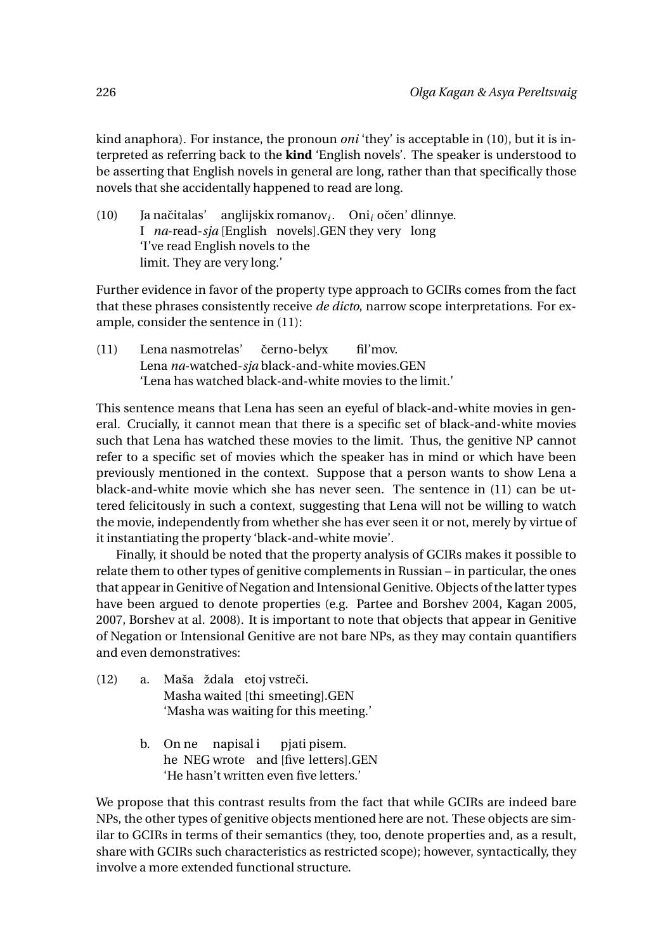kind anaphora). For instance, the pronoun *oni* 'they' is acceptable in (10), but it is interpreted as referring back to the **kind** 'English novels'. The speaker is understood to be asserting that English novels in general are long, rather than that specifically those novels that she accidentally happened to read are long.

 $(10)$ I *na*-read-*sja* [English novels].GEN they very long Ja načitalas' anglijskix romanov<sub>i</sub>. Oni<sub>i</sub> očen' dlinnye. 'I've read English novels to the limit. They are very long.'

Further evidence in favor of the property type approach to GCIRs comes from the fact that these phrases consistently receive *de dicto*, narrow scope interpretations. For example, consider the sentence in (11):

(11) Lena nasmotrelas' Lena *na*-watched-*sja* black-and-white movies.GEN černo-belyx fil'mov. 'Lena has watched black-and-white movies to the limit.'

This sentence means that Lena has seen an eyeful of black-and-white movies in general. Crucially, it cannot mean that there is a specific set of black-and-white movies such that Lena has watched these movies to the limit. Thus, the genitive NP cannot refer to a specific set of movies which the speaker has in mind or which have been previously mentioned in the context. Suppose that a person wants to show Lena a black-and-white movie which she has never seen. The sentence in (11) can be uttered felicitously in such a context, suggesting that Lena will not be willing to watch the movie, independently from whether she has ever seen it or not, merely by virtue of it instantiating the property 'black-and-white movie'.

Finally, it should be noted that the property analysis of GCIRs makes it possible to relate them to other types of genitive complements in Russian – in particular, the ones that appear in Genitive of Negation and Intensional Genitive. Objects of the latter types have been argued to denote properties (e.g. Partee and Borshev 2004, Kagan 2005, 2007, Borshev at al. 2008). It is important to note that objects that appear in Genitive of Negation or Intensional Genitive are not bare NPs, as they may contain quantifiers and even demonstratives:

- (12) a. Maša ždala etoj vstreči. Masha waited [thi smeeting].GEN 'Masha was waiting for this meeting.'
	- b. On ne napisal i he NEG wrote and [five letters].GEN pjati pisem. 'He hasn't written even five letters.'

We propose that this contrast results from the fact that while GCIRs are indeed bare NPs, the other types of genitive objects mentioned here are not. These objects are similar to GCIRs in terms of their semantics (they, too, denote properties and, as a result, share with GCIRs such characteristics as restricted scope); however, syntactically, they involve a more extended functional structure.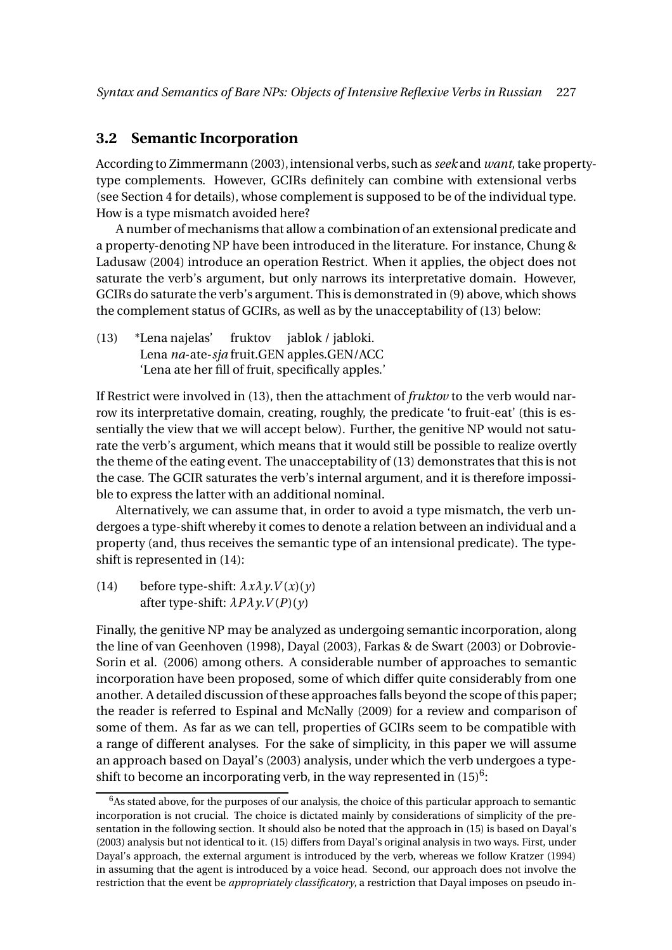#### **3.2 Semantic Incorporation**

According to Zimmermann (2003), intensional verbs, such as *seek* and *want*, take propertytype complements. However, GCIRs definitely can combine with extensional verbs (see Section 4 for details), whose complement is supposed to be of the individual type. How is a type mismatch avoided here?

A number of mechanisms that allow a combination of an extensional predicate and a property-denoting NP have been introduced in the literature. For instance, Chung & Ladusaw (2004) introduce an operation Restrict. When it applies, the object does not saturate the verb's argument, but only narrows its interpretative domain. However, GCIRs do saturate the verb's argument. This is demonstrated in (9) above, which shows the complement status of GCIRs, as well as by the unacceptability of (13) below:

(13) \*Lena najelas' Lena *na*-ate-*sja* fruit.GEN apples.GEN/ACC fruktov jablok / jabloki. 'Lena ate her fill of fruit, specifically apples.'

If Restrict were involved in (13), then the attachment of *fruktov* to the verb would narrow its interpretative domain, creating, roughly, the predicate 'to fruit-eat' (this is essentially the view that we will accept below). Further, the genitive NP would not saturate the verb's argument, which means that it would still be possible to realize overtly the theme of the eating event. The unacceptability of (13) demonstrates that this is not the case. The GCIR saturates the verb's internal argument, and it is therefore impossible to express the latter with an additional nominal.

Alternatively, we can assume that, in order to avoid a type mismatch, the verb undergoes a type-shift whereby it comes to denote a relation between an individual and a property (and, thus receives the semantic type of an intensional predicate). The typeshift is represented in (14):

(14) before type-shift:  $\lambda x \lambda y. V(x)(y)$ after type-shift:  $\lambda P \lambda y. V(P)(y)$ 

Finally, the genitive NP may be analyzed as undergoing semantic incorporation, along the line of van Geenhoven (1998), Dayal (2003), Farkas & de Swart (2003) or Dobrovie-Sorin et al. (2006) among others. A considerable number of approaches to semantic incorporation have been proposed, some of which differ quite considerably from one another. A detailed discussion of these approaches falls beyond the scope of this paper; the reader is referred to Espinal and McNally (2009) for a review and comparison of some of them. As far as we can tell, properties of GCIRs seem to be compatible with a range of different analyses. For the sake of simplicity, in this paper we will assume an approach based on Dayal's (2003) analysis, under which the verb undergoes a typeshift to become an incorporating verb, in the way represented in  $(15)^6$ :

 $6$ As stated above, for the purposes of our analysis, the choice of this particular approach to semantic incorporation is not crucial. The choice is dictated mainly by considerations of simplicity of the presentation in the following section. It should also be noted that the approach in (15) is based on Dayal's (2003) analysis but not identical to it. (15) differs from Dayal's original analysis in two ways. First, under Dayal's approach, the external argument is introduced by the verb, whereas we follow Kratzer (1994) in assuming that the agent is introduced by a voice head. Second, our approach does not involve the restriction that the event be *appropriately classificatory*, a restriction that Dayal imposes on pseudo in-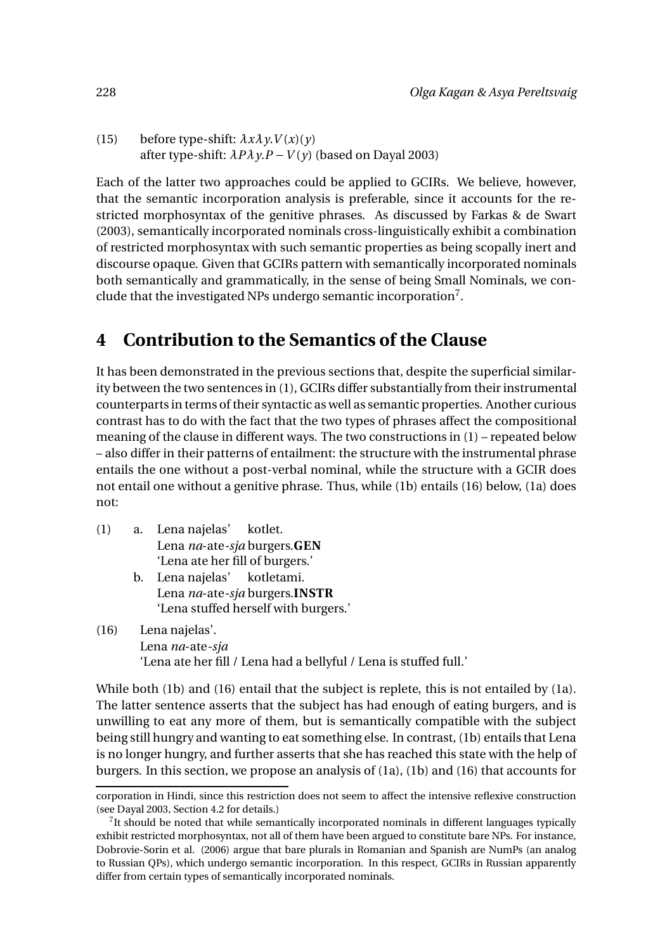(15) before type-shift:  $\lambda x \lambda y. V(x)(y)$ after type-shift:  $\lambda P \lambda \gamma P - V(\gamma)$  (based on Dayal 2003)

Each of the latter two approaches could be applied to GCIRs. We believe, however, that the semantic incorporation analysis is preferable, since it accounts for the restricted morphosyntax of the genitive phrases. As discussed by Farkas & de Swart (2003), semantically incorporated nominals cross-linguistically exhibit a combination of restricted morphosyntax with such semantic properties as being scopally inert and discourse opaque. Given that GCIRs pattern with semantically incorporated nominals both semantically and grammatically, in the sense of being Small Nominals, we conclude that the investigated NPs undergo semantic incorporation<sup>7</sup>.

# **4 Contribution to the Semantics of the Clause**

It has been demonstrated in the previous sections that, despite the superficial similarity between the two sentences in (1), GCIRs differ substantially from their instrumental counterparts in terms of their syntactic as well as semantic properties. Another curious contrast has to do with the fact that the two types of phrases affect the compositional meaning of the clause in different ways. The two constructions in (1) – repeated below – also differ in their patterns of entailment: the structure with the instrumental phrase entails the one without a post-verbal nominal, while the structure with a GCIR does not entail one without a genitive phrase. Thus, while (1b) entails (16) below, (1a) does not:

- (1) a. Lena najelas' Lena *na*-ate*-sja* burgers.**GEN** kotlet. 'Lena ate her fill of burgers.'
	- b. Lena najelas' Lena *na*-ate*-sja* burgers.**INSTR** kotletami. 'Lena stuffed herself with burgers.'
- (16) Lena najelas'. Lena *na*-ate*-sja* 'Lena ate her fill / Lena had a bellyful / Lena is stuffed full.'

While both (1b) and (16) entail that the subject is replete, this is not entailed by (1a). The latter sentence asserts that the subject has had enough of eating burgers, and is unwilling to eat any more of them, but is semantically compatible with the subject being still hungry and wanting to eat something else. In contrast, (1b) entails that Lena is no longer hungry, and further asserts that she has reached this state with the help of burgers. In this section, we propose an analysis of (1a), (1b) and (16) that accounts for

corporation in Hindi, since this restriction does not seem to affect the intensive reflexive construction (see Dayal 2003, Section 4.2 for details.)

 $7$ It should be noted that while semantically incorporated nominals in different languages typically exhibit restricted morphosyntax, not all of them have been argued to constitute bare NPs. For instance, Dobrovie-Sorin et al. (2006) argue that bare plurals in Romanian and Spanish are NumPs (an analog to Russian QPs), which undergo semantic incorporation. In this respect, GCIRs in Russian apparently differ from certain types of semantically incorporated nominals.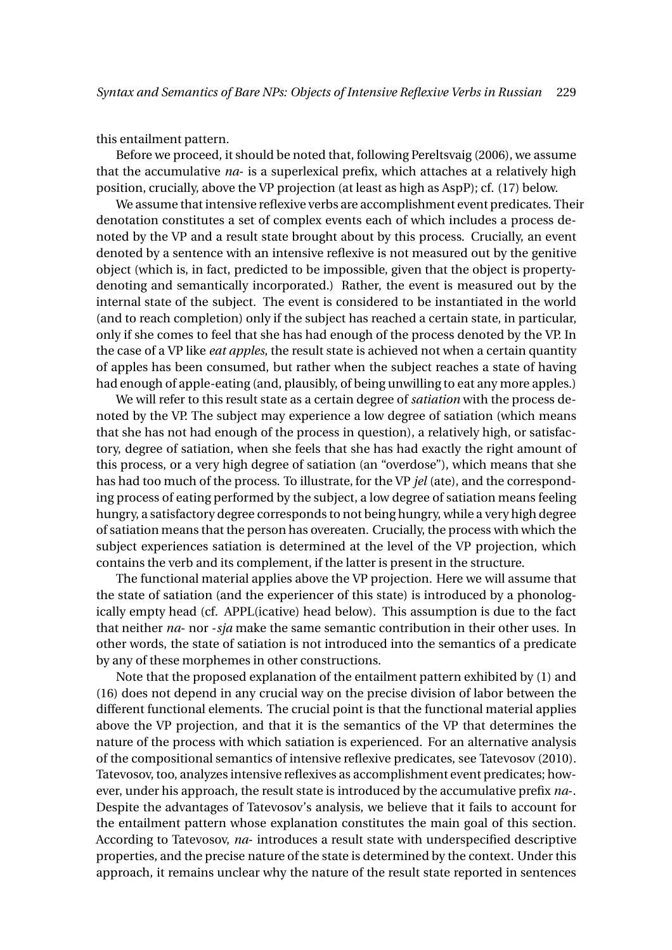this entailment pattern.

Before we proceed, it should be noted that, following Pereltsvaig (2006), we assume that the accumulative *na*- is a superlexical prefix, which attaches at a relatively high position, crucially, above the VP projection (at least as high as AspP); cf. (17) below.

We assume that intensive reflexive verbs are accomplishment event predicates. Their denotation constitutes a set of complex events each of which includes a process denoted by the VP and a result state brought about by this process. Crucially, an event denoted by a sentence with an intensive reflexive is not measured out by the genitive object (which is, in fact, predicted to be impossible, given that the object is propertydenoting and semantically incorporated.) Rather, the event is measured out by the internal state of the subject. The event is considered to be instantiated in the world (and to reach completion) only if the subject has reached a certain state, in particular, only if she comes to feel that she has had enough of the process denoted by the VP. In the case of a VP like *eat apples*, the result state is achieved not when a certain quantity of apples has been consumed, but rather when the subject reaches a state of having had enough of apple-eating (and, plausibly, of being unwilling to eat any more apples.)

We will refer to this result state as a certain degree of *satiation* with the process denoted by the VP. The subject may experience a low degree of satiation (which means that she has not had enough of the process in question), a relatively high, or satisfactory, degree of satiation, when she feels that she has had exactly the right amount of this process, or a very high degree of satiation (an "overdose"), which means that she has had too much of the process. To illustrate, for the VP *jel* (ate), and the corresponding process of eating performed by the subject, a low degree of satiation means feeling hungry, a satisfactory degree corresponds to not being hungry, while a very high degree of satiation means that the person has overeaten. Crucially, the process with which the subject experiences satiation is determined at the level of the VP projection, which contains the verb and its complement, if the latter is present in the structure.

The functional material applies above the VP projection. Here we will assume that the state of satiation (and the experiencer of this state) is introduced by a phonologically empty head (cf. APPL(icative) head below). This assumption is due to the fact that neither *na*- nor -*sja* make the same semantic contribution in their other uses. In other words, the state of satiation is not introduced into the semantics of a predicate by any of these morphemes in other constructions.

Note that the proposed explanation of the entailment pattern exhibited by (1) and (16) does not depend in any crucial way on the precise division of labor between the different functional elements. The crucial point is that the functional material applies above the VP projection, and that it is the semantics of the VP that determines the nature of the process with which satiation is experienced. For an alternative analysis of the compositional semantics of intensive reflexive predicates, see Tatevosov (2010). Tatevosov, too, analyzes intensive reflexives as accomplishment event predicates; however, under his approach, the result state is introduced by the accumulative prefix *na*-. Despite the advantages of Tatevosov's analysis, we believe that it fails to account for the entailment pattern whose explanation constitutes the main goal of this section. According to Tatevosov, *na*- introduces a result state with underspecified descriptive properties, and the precise nature of the state is determined by the context. Under this approach, it remains unclear why the nature of the result state reported in sentences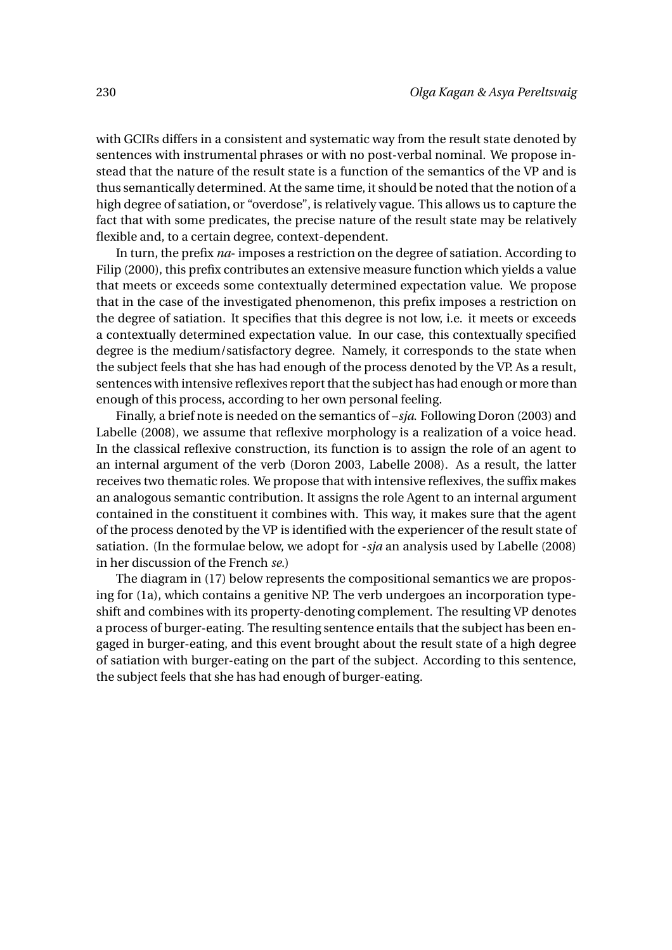with GCIRs differs in a consistent and systematic way from the result state denoted by sentences with instrumental phrases or with no post-verbal nominal. We propose instead that the nature of the result state is a function of the semantics of the VP and is thus semantically determined. At the same time, it should be noted that the notion of a high degree of satiation, or "overdose", is relatively vague. This allows us to capture the fact that with some predicates, the precise nature of the result state may be relatively flexible and, to a certain degree, context-dependent.

In turn, the prefix *na*- imposes a restriction on the degree of satiation. According to Filip (2000), this prefix contributes an extensive measure function which yields a value that meets or exceeds some contextually determined expectation value. We propose that in the case of the investigated phenomenon, this prefix imposes a restriction on the degree of satiation. It specifies that this degree is not low, i.e. it meets or exceeds a contextually determined expectation value. In our case, this contextually specified degree is the medium/satisfactory degree. Namely, it corresponds to the state when the subject feels that she has had enough of the process denoted by the VP. As a result, sentences with intensive reflexives report that the subject has had enough or more than enough of this process, according to her own personal feeling.

Finally, a brief note is needed on the semantics of –*sja*. Following Doron (2003) and Labelle (2008), we assume that reflexive morphology is a realization of a voice head. In the classical reflexive construction, its function is to assign the role of an agent to an internal argument of the verb (Doron 2003, Labelle 2008). As a result, the latter receives two thematic roles. We propose that with intensive reflexives, the suffix makes an analogous semantic contribution. It assigns the role Agent to an internal argument contained in the constituent it combines with. This way, it makes sure that the agent of the process denoted by the VP is identified with the experiencer of the result state of satiation. (In the formulae below, we adopt for -*sja* an analysis used by Labelle (2008) in her discussion of the French *se*.)

The diagram in (17) below represents the compositional semantics we are proposing for (1a), which contains a genitive NP. The verb undergoes an incorporation typeshift and combines with its property-denoting complement. The resulting VP denotes a process of burger-eating. The resulting sentence entails that the subject has been engaged in burger-eating, and this event brought about the result state of a high degree of satiation with burger-eating on the part of the subject. According to this sentence, the subject feels that she has had enough of burger-eating.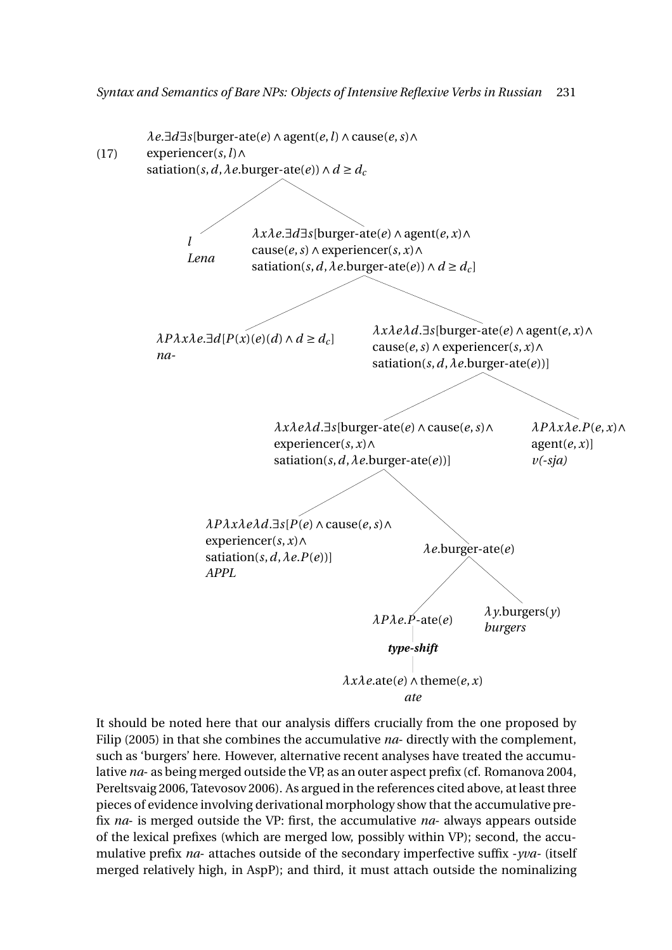

It should be noted here that our analysis differs crucially from the one proposed by Filip (2005) in that she combines the accumulative *na*- directly with the complement, such as 'burgers' here. However, alternative recent analyses have treated the accumulative *na*- as being merged outside the VP, as an outer aspect prefix (cf. Romanova 2004, Pereltsvaig 2006, Tatevosov 2006). As argued in the references cited above, at least three pieces of evidence involving derivational morphology show that the accumulative prefix *na*- is merged outside the VP: first, the accumulative *na*- always appears outside of the lexical prefixes (which are merged low, possibly within VP); second, the accumulative prefix *na*- attaches outside of the secondary imperfective suffix -*yva-* (itself merged relatively high, in AspP); and third, it must attach outside the nominalizing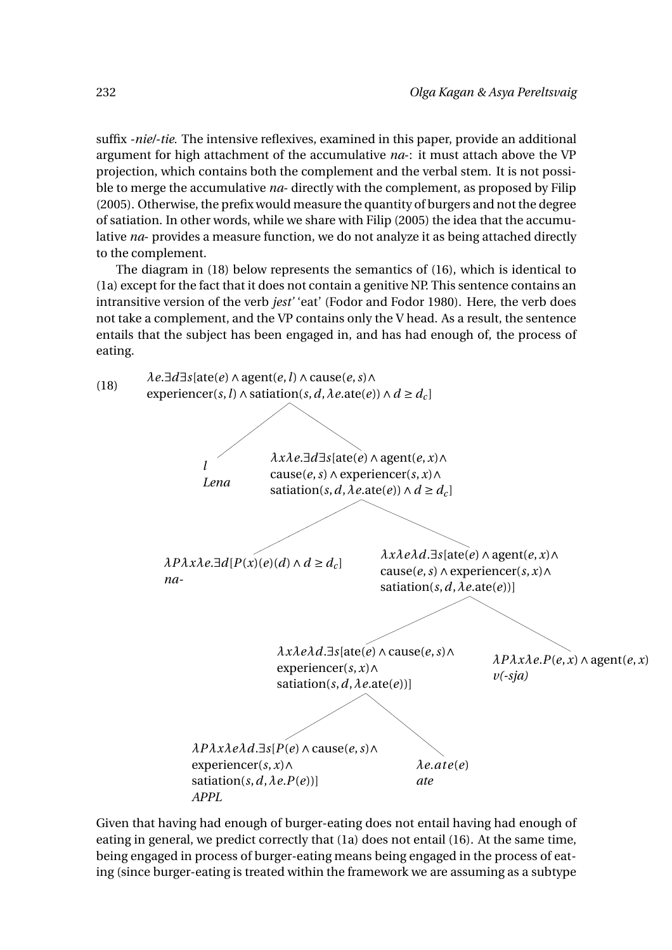suffix *-nie/-tie.* The intensive reflexives, examined in this paper, provide an additional argument for high attachment of the accumulative *na*-: it must attach above the VP projection, which contains both the complement and the verbal stem. It is not possible to merge the accumulative *na*- directly with the complement, as proposed by Filip (2005). Otherwise, the prefix would measure the quantity of burgers and not the degree of satiation. In other words, while we share with Filip (2005) the idea that the accumulative *na*- provides a measure function, we do not analyze it as being attached directly to the complement.

The diagram in (18) below represents the semantics of (16), which is identical to (1a) except for the fact that it does not contain a genitive NP. This sentence contains an intransitive version of the verb *jest'* 'eat' (Fodor and Fodor 1980). Here, the verb does not take a complement, and the VP contains only the V head. As a result, the sentence entails that the subject has been engaged in, and has had enough of, the process of eating.



Given that having had enough of burger-eating does not entail having had enough of eating in general, we predict correctly that (1a) does not entail (16). At the same time, being engaged in process of burger-eating means being engaged in the process of eating (since burger-eating is treated within the framework we are assuming as a subtype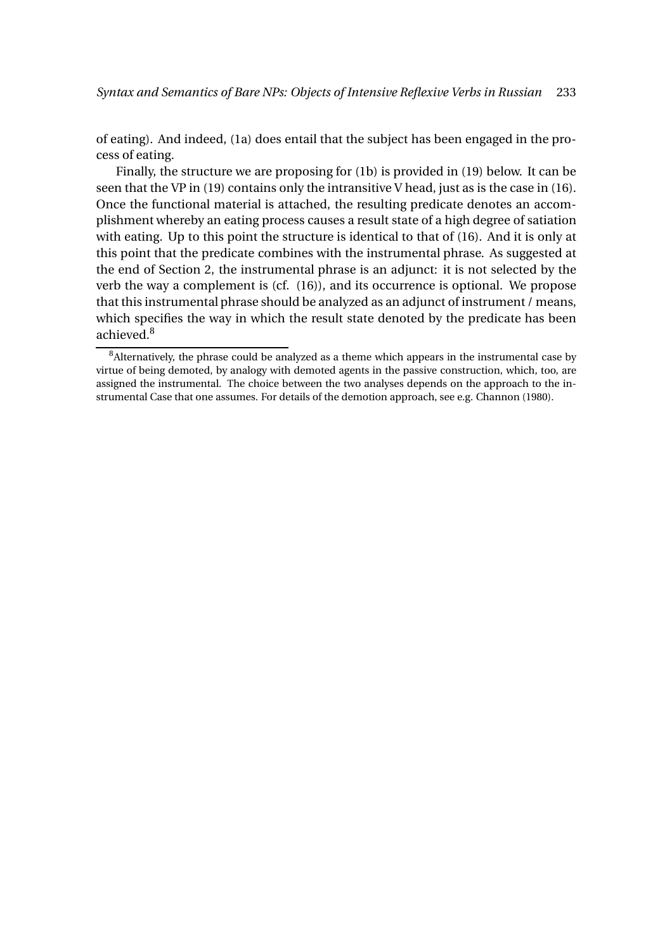of eating). And indeed, (1a) does entail that the subject has been engaged in the process of eating.

Finally, the structure we are proposing for (1b) is provided in (19) below. It can be seen that the VP in (19) contains only the intransitive V head, just as is the case in (16). Once the functional material is attached, the resulting predicate denotes an accomplishment whereby an eating process causes a result state of a high degree of satiation with eating. Up to this point the structure is identical to that of (16). And it is only at this point that the predicate combines with the instrumental phrase. As suggested at the end of Section 2, the instrumental phrase is an adjunct: it is not selected by the verb the way a complement is (cf. (16)), and its occurrence is optional. We propose that this instrumental phrase should be analyzed as an adjunct of instrument / means, which specifies the way in which the result state denoted by the predicate has been achieved.<sup>8</sup>

 $8$ Alternatively, the phrase could be analyzed as a theme which appears in the instrumental case by virtue of being demoted, by analogy with demoted agents in the passive construction, which, too, are assigned the instrumental. The choice between the two analyses depends on the approach to the instrumental Case that one assumes. For details of the demotion approach, see e.g. Channon (1980).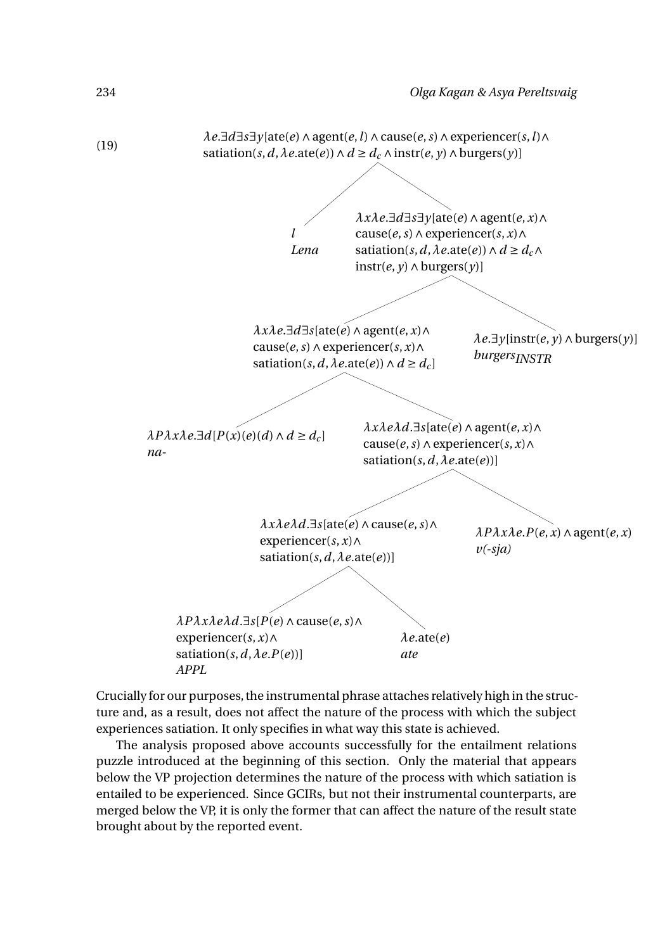

Crucially for our purposes, the instrumental phrase attaches relatively high in the structure and, as a result, does not affect the nature of the process with which the subject experiences satiation. It only specifies in what way this state is achieved.

The analysis proposed above accounts successfully for the entailment relations puzzle introduced at the beginning of this section. Only the material that appears below the VP projection determines the nature of the process with which satiation is entailed to be experienced. Since GCIRs, but not their instrumental counterparts, are merged below the VP, it is only the former that can affect the nature of the result state brought about by the reported event.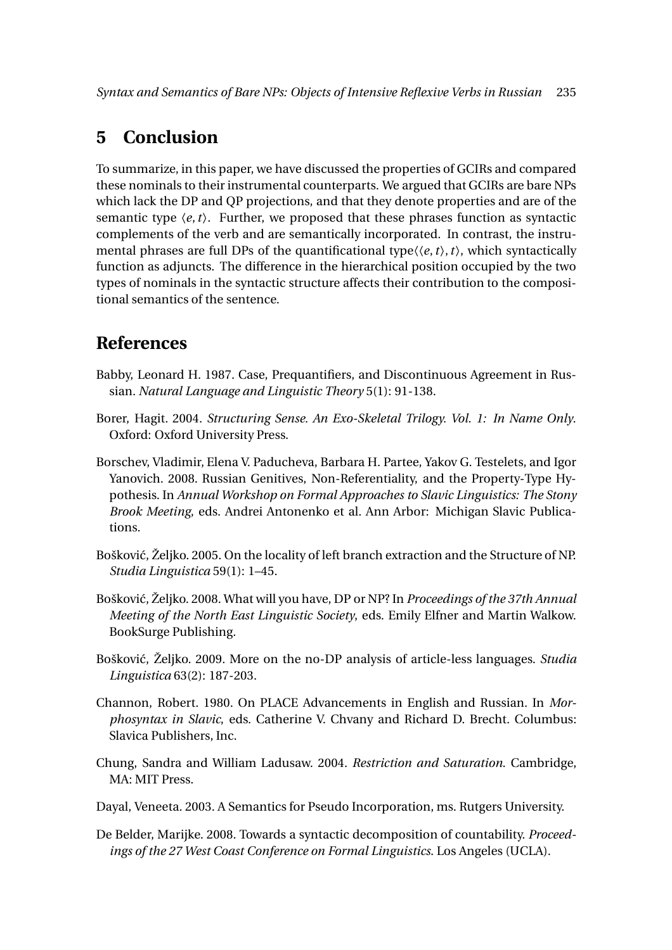# **5 Conclusion**

To summarize, in this paper, we have discussed the properties of GCIRs and compared these nominals to their instrumental counterparts. We argued that GCIRs are bare NPs which lack the DP and QP projections, and that they denote properties and are of the semantic type  $\langle e, t \rangle$ . Further, we proposed that these phrases function as syntactic complements of the verb and are semantically incorporated. In contrast, the instrumental phrases are full DPs of the quantificational type〈〈*e*,*t*〉,*t*〉, which syntactically function as adjuncts. The difference in the hierarchical position occupied by the two types of nominals in the syntactic structure affects their contribution to the compositional semantics of the sentence.

### **References**

- Babby, Leonard H. 1987. Case, Prequantifiers, and Discontinuous Agreement in Russian. *Natural Language and Linguistic Theory* 5(1): 91-138.
- Borer, Hagit. 2004. *Structuring Sense. An Exo-Skeletal Trilogy. Vol. 1: In Name Only*. Oxford: Oxford University Press.
- Borschev, Vladimir, Elena V. Paducheva, Barbara H. Partee, Yakov G. Testelets, and Igor Yanovich. 2008. Russian Genitives, Non-Referentiality, and the Property-Type Hypothesis. In *Annual Workshop on Formal Approaches to Slavic Linguistics: The Stony Brook Meeting*, eds. Andrei Antonenko et al. Ann Arbor: Michigan Slavic Publications.
- Bošković, Željko. 2005. On the locality of left branch extraction and the Structure of NP. *Studia Linguistica* 59(1): 1–45.
- Boškovi´c, Željko. 2008. What will you have, DP or NP? In *Proceedings of the 37th Annual Meeting of the North East Linguistic Society*, eds. Emily Elfner and Martin Walkow. BookSurge Publishing.
- Boškovi´c, Željko. 2009. More on the no-DP analysis of article-less languages. *Studia Linguistica* 63(2): 187-203.
- Channon, Robert. 1980. On PLACE Advancements in English and Russian. In *Morphosyntax in Slavic*, eds. Catherine V. Chvany and Richard D. Brecht. Columbus: Slavica Publishers, Inc.
- Chung, Sandra and William Ladusaw. 2004. *Restriction and Saturation*. Cambridge, MA: MIT Press.

Dayal, Veneeta. 2003. A Semantics for Pseudo Incorporation, ms. Rutgers University.

De Belder, Marijke. 2008. Towards a syntactic decomposition of countability. *Proceedings of the 27 West Coast Conference on Formal Linguistics*. Los Angeles (UCLA).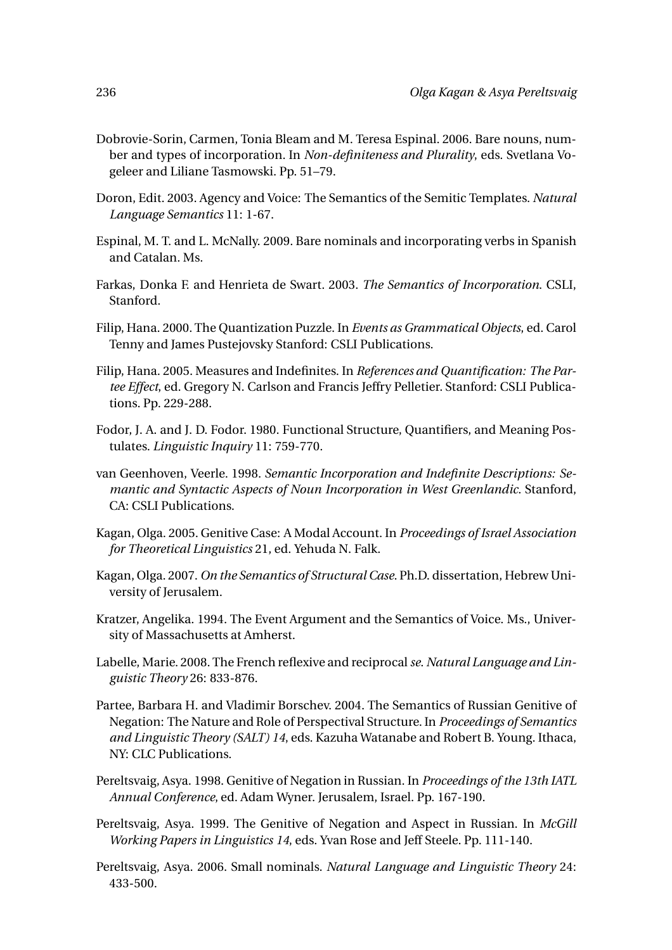- Dobrovie-Sorin, Carmen, Tonia Bleam and M. Teresa Espinal. 2006. Bare nouns, number and types of incorporation. In *Non-definiteness and Plurality*, eds. Svetlana Vogeleer and Liliane Tasmowski. Pp. 51–79.
- Doron, Edit. 2003. Agency and Voice: The Semantics of the Semitic Templates. *Natural Language Semantics* 11: 1-67.
- Espinal, M. T. and L. McNally. 2009. Bare nominals and incorporating verbs in Spanish and Catalan. Ms.
- Farkas, Donka F. and Henrieta de Swart. 2003. *The Semantics of Incorporation*. CSLI, Stanford.
- Filip, Hana. 2000. The Quantization Puzzle. In *Events as Grammatical Objects*, ed. Carol Tenny and James Pustejovsky Stanford: CSLI Publications.
- Filip, Hana. 2005. Measures and Indefinites. In *References and Quantification: The Partee Effect*, ed. Gregory N. Carlson and Francis Jeffry Pelletier. Stanford: CSLI Publications. Pp. 229-288.
- Fodor, J. A. and J. D. Fodor. 1980. Functional Structure, Quantifiers, and Meaning Postulates. *Linguistic Inquiry* 11: 759-770.
- van Geenhoven, Veerle. 1998. *Semantic Incorporation and Indefinite Descriptions: Semantic and Syntactic Aspects of Noun Incorporation in West Greenlandic*. Stanford, CA: CSLI Publications.
- Kagan, Olga. 2005. Genitive Case: A Modal Account. In *Proceedings of Israel Association for Theoretical Linguistics* 21, ed. Yehuda N. Falk.
- Kagan, Olga. 2007. *On the Semantics of Structural Case*. Ph.D. dissertation, Hebrew University of Jerusalem.
- Kratzer, Angelika. 1994. The Event Argument and the Semantics of Voice. Ms., University of Massachusetts at Amherst.
- Labelle, Marie. 2008. The French reflexive and reciprocal*se*. *Natural Language and Linguistic Theory* 26: 833-876.
- Partee, Barbara H. and Vladimir Borschev. 2004. The Semantics of Russian Genitive of Negation: The Nature and Role of Perspectival Structure. In *Proceedings of Semantics and Linguistic Theory (SALT) 14*, eds. Kazuha Watanabe and Robert B. Young. Ithaca, NY: CLC Publications.
- Pereltsvaig, Asya. 1998. Genitive of Negation in Russian. In *Proceedings of the 13th IATL Annual Conference*, ed. Adam Wyner. Jerusalem, Israel. Pp. 167-190.
- Pereltsvaig, Asya. 1999. The Genitive of Negation and Aspect in Russian. In *McGill Working Papers in Linguistics 14*, eds. Yvan Rose and Jeff Steele. Pp. 111-140.
- Pereltsvaig, Asya. 2006. Small nominals. *Natural Language and Linguistic Theory* 24: 433-500.